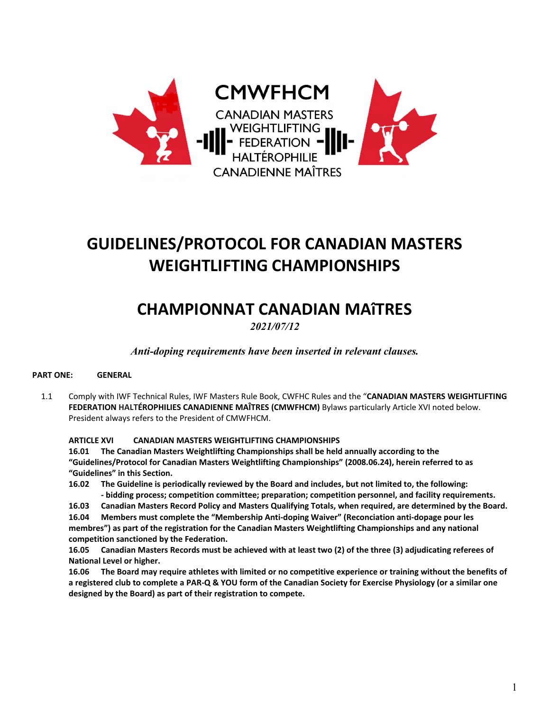

# **GUIDELINES/PROTOCOL FOR CANADIAN MASTERS WEIGHTLIFTING CHAMPIONSHIPS**

# **CHAMPIONNAT CANADIAN MAîTRES**

*2021/07/12* 

*Anti-doping requirements have been inserted in relevant clauses.*

#### **PART ONE: GENERAL**

1.1 Comply with IWF Technical Rules, IWF Masters Rule Book, CWFHC Rules and the "**CANADIAN MASTERS WEIGHTLIFTING FEDERATION HALTÉROPHILIES CANADIENNE MAÎTRES (CMWFHCM)** Bylaws particularly Article XVI noted below. President always refers to the President of CMWFHCM.

#### **ARTICLE XVI CANADIAN MASTERS WEIGHTLIFTING CHAMPIONSHIPS**

**16.01 The Canadian Masters Weightlifting Championships shall be held annually according to the "Guidelines/Protocol for Canadian Masters Weightlifting Championships" (2008.06.24), herein referred to as "Guidelines" in this Section.**

- **16.02 The Guideline is periodically reviewed by the Board and includes, but not limited to, the following: - bidding process; competition committee; preparation; competition personnel, and facility requirements.**
- **16.03 Canadian Masters Record Policy and Masters Qualifying Totals, when required, are determined by the Board.**

**16.04 Members must complete the "Membership Anti-doping Waiver" (Reconciation anti-dopage pour les membres") as part of the registration for the Canadian Masters Weightlifting Championships and any national competition sanctioned by the Federation.**

**16.05 Canadian Masters Records must be achieved with at least two (2) of the three (3) adjudicating referees of National Level or higher.**

**16.06 The Board may require athletes with limited or no competitive experience or training without the benefits of a registered club to complete a PAR-Q & YOU form of the Canadian Society for Exercise Physiology (or a similar one designed by the Board) as part of their registration to compete.**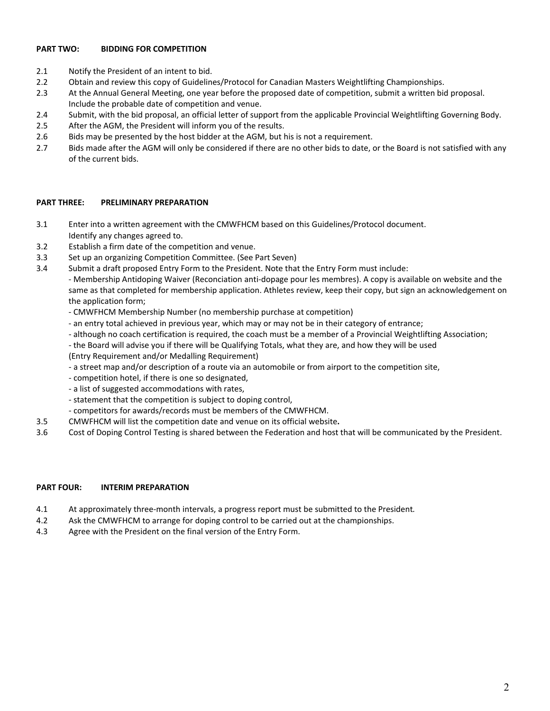#### **PART TWO: BIDDING FOR COMPETITION**

- 2.1 Notify the President of an intent to bid.
- 2.2 Obtain and review this copy of Guidelines/Protocol for Canadian Masters Weightlifting Championships.
- 2.3 At the Annual General Meeting, one year before the proposed date of competition, submit a written bid proposal. Include the probable date of competition and venue.
- 2.4 Submit, with the bid proposal, an official letter of support from the applicable Provincial Weightlifting Governing Body.
- 2.5 After the AGM, the President will inform you of the results.
- 2.6 Bids may be presented by the host bidder at the AGM, but his is not a requirement.
- 2.7 Bids made after the AGM will only be considered if there are no other bids to date, or the Board is not satisfied with any of the current bids.

#### **PART THREE: PRELIMINARY PREPARATION**

- 3.1 Enter into a written agreement with the CMWFHCM based on this Guidelines/Protocol document. Identify any changes agreed to.
- 3.2 Establish a firm date of the competition and venue.
- 3.3 Set up an organizing Competition Committee. (See Part Seven)
- 3.4 Submit a draft proposed Entry Form to the President. Note that the Entry Form must include:

 - Membership Antidoping Waiver (Reconciation anti-dopage pour les membres). A copy is available on website and the same as that completed for membership application. Athletes review, keep their copy, but sign an acknowledgement on the application form;

- CMWFHCM Membership Number (no membership purchase at competition)
- an entry total achieved in previous year, which may or may not be in their category of entrance;
- although no coach certification is required, the coach must be a member of a Provincial Weightlifting Association;
- the Board will advise you if there will be Qualifying Totals, what they are, and how they will be used
- (Entry Requirement and/or Medalling Requirement)
- a street map and/or description of a route via an automobile or from airport to the competition site,
- competition hotel, if there is one so designated,
- a list of suggested accommodations with rates,
- statement that the competition is subject to doping control,
- competitors for awards/records must be members of the CMWFHCM.
- 3.5 CMWFHCM will list the competition date and venue on its official website**.**
- 3.6 Cost of Doping Control Testing is shared between the Federation and host that will be communicated by the President.

#### **PART FOUR: INTERIM PREPARATION**

- 4.1 At approximately three-month intervals, a progress report must be submitted to the President*.*
- 4.2 Ask the CMWFHCM to arrange for doping control to be carried out at the championships.
- 4.3 Agree with the President on the final version of the Entry Form.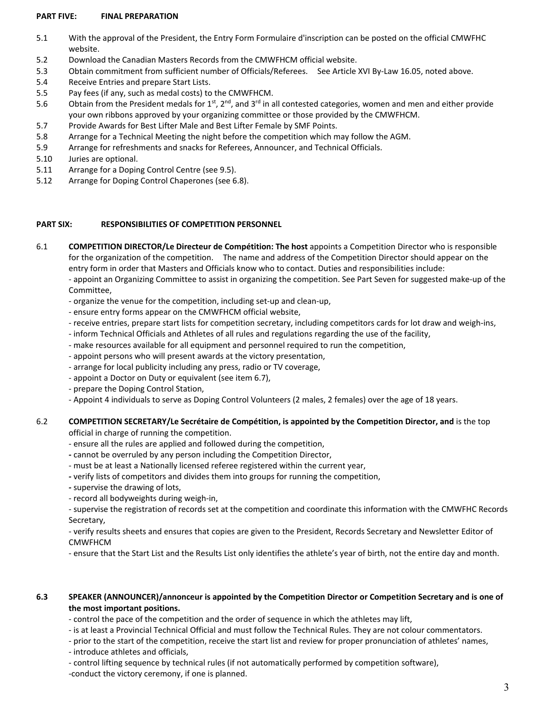#### **PART FIVE: FINAL PREPARATION**

- 5.1 With the approval of the President, the Entry Form Formulaire d'inscription can be posted on the official CMWFHC website.
- 5.2Download the Canadian Masters Records from the CMWFHCM official website.
- 5.3 Obtain commitment from sufficient number of Officials/Referees. See Article XVI By-Law 16.05, noted above.
- 5.4 Receive Entries and prepare Start Lists.
- 5.5 Pay fees (if any, such as medal costs) to the CMWFHCM.
- 5.6 Obtain from the President medals for  $1^{st}$ ,  $2^{nd}$ , and  $3^{rd}$  in all contested categories, women and men and either provide your own ribbons approved by your organizing committee or those provided by the CMWFHCM.
- 5.7 Provide Awards for Best Lifter Male and Best Lifter Female by SMF Points.
- 5.8 Arrange for a Technical Meeting the night before the competition which may follow the AGM.
- 5.9 Arrange for refreshments and snacks for Referees, Announcer, and Technical Officials.
- 5.10 Juries are optional.
- 5.11 Arrange for a Doping Control Centre (see 9.5).
- 5.12 Arrange for Doping Control Chaperones (see 6.8).

#### **PART SIX: RESPONSIBILITIES OF COMPETITION PERSONNEL**

- 6.1 **COMPETITION DIRECTOR/Le Directeur de Compétition: The host** appoints a Competition Director who is responsible for the organization of the competition. The name and address of the Competition Director should appear on the entry form in order that Masters and Officials know who to contact. Duties and responsibilities include: - appoint an Organizing Committee to assist in organizing the competition. See Part Seven for suggested make-up of the Committee,
	- organize the venue for the competition, including set-up and clean-up,
	- ensure entry forms appear on the CMWFHCM official website,
	- receive entries, prepare start lists for competition secretary, including competitors cards for lot draw and weigh-ins,
	- inform Technical Officials and Athletes of all rules and regulations regarding the use of the facility,
	- make resources available for all equipment and personnel required to run the competition,
	- appoint persons who will present awards at the victory presentation,
	- arrange for local publicity including any press, radio or TV coverage,
	- appoint a Doctor on Duty or equivalent (see item 6.7),
	- prepare the Doping Control Station,
	- Appoint 4 individuals to serve as Doping Control Volunteers (2 males, 2 females) over the age of 18 years.

#### 6.2 **COMPETITION SECRETARY/Le Secrétaire de Compétition, is appointed by the Competition Director, and** is the top official in charge of running the competition.

- ensure all the rules are applied and followed during the competition,

- cannot be overruled by any person including the Competition Director,
- must be at least a Nationally licensed referee registered within the current year,
- verify lists of competitors and divides them into groups for running the competition,
- supervise the drawing of lots,
- record all bodyweights during weigh-in,

- supervise the registration of records set at the competition and coordinate this information with the CMWFHC Records Secretary,

- verify results sheets and ensures that copies are given to the President, Records Secretary and Newsletter Editor of CMWFHCM

- ensure that the Start List and the Results List only identifies the athlete's year of birth, not the entire day and month.

#### **6.3 SPEAKER (ANNOUNCER)/annonceur is appointed by the Competition Director or Competition Secretary and is one of the most important positions.**

- control the pace of the competition and the order of sequence in which the athletes may lift,

- is at least a Provincial Technical Official and must follow the Technical Rules. They are not colour commentators.
- prior to the start of the competition, receive the start list and review for proper pronunciation of athletes' names,
- introduce athletes and officials,
- control lifting sequence by technical rules (if not automatically performed by competition software),
- -conduct the victory ceremony, if one is planned.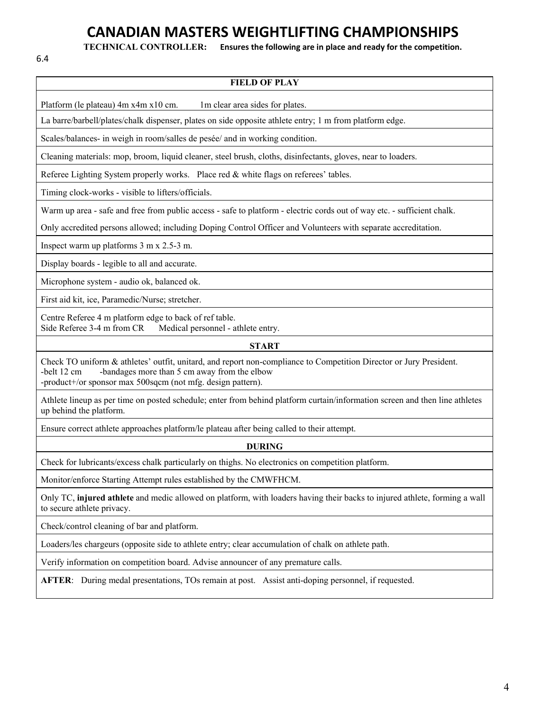# **CANADIAN MASTERS WEIGHTLIFTING CHAMPIONSHIPS**

6.4

**TECHNICAL CONTROLLER: Ensures the following are in place and ready for the competition.**

| Platform (le plateau) 4m x4m x10 cm.<br>1m clear area sides for plates.<br>La barre/barbell/plates/chalk dispenser, plates on side opposite athlete entry; 1 m from platform edge.<br>Scales/balances- in weigh in room/salles de pesée/ and in working condition.<br>Cleaning materials: mop, broom, liquid cleaner, steel brush, cloths, disinfectants, gloves, near to loaders.<br>Referee Lighting System properly works. Place red & white flags on referees' tables.<br>Timing clock-works - visible to lifters/officials.<br>Warm up area - safe and free from public access - safe to platform - electric cords out of way etc. - sufficient chalk.<br>Only accredited persons allowed; including Doping Control Officer and Volunteers with separate accreditation.<br>Inspect warm up platforms 3 m x 2.5-3 m.<br>Display boards - legible to all and accurate.<br>Microphone system - audio ok, balanced ok.<br>First aid kit, ice, Paramedic/Nurse; stretcher.<br>Centre Referee 4 m platform edge to back of ref table.<br>Side Referee 3-4 m from CR<br>Medical personnel - athlete entry.<br><b>START</b><br>Check TO uniform & athletes' outfit, unitard, and report non-compliance to Competition Director or Jury President.<br>-belt 12 cm<br>-bandages more than 5 cm away from the elbow<br>-product+/or sponsor max 500sqcm (not mfg. design pattern).<br>Athlete lineup as per time on posted schedule; enter from behind platform curtain/information screen and then line athletes<br>up behind the platform. |
|----------------------------------------------------------------------------------------------------------------------------------------------------------------------------------------------------------------------------------------------------------------------------------------------------------------------------------------------------------------------------------------------------------------------------------------------------------------------------------------------------------------------------------------------------------------------------------------------------------------------------------------------------------------------------------------------------------------------------------------------------------------------------------------------------------------------------------------------------------------------------------------------------------------------------------------------------------------------------------------------------------------------------------------------------------------------------------------------------------------------------------------------------------------------------------------------------------------------------------------------------------------------------------------------------------------------------------------------------------------------------------------------------------------------------------------------------------------------------------------------------------------------------------------|
|                                                                                                                                                                                                                                                                                                                                                                                                                                                                                                                                                                                                                                                                                                                                                                                                                                                                                                                                                                                                                                                                                                                                                                                                                                                                                                                                                                                                                                                                                                                                        |
|                                                                                                                                                                                                                                                                                                                                                                                                                                                                                                                                                                                                                                                                                                                                                                                                                                                                                                                                                                                                                                                                                                                                                                                                                                                                                                                                                                                                                                                                                                                                        |
|                                                                                                                                                                                                                                                                                                                                                                                                                                                                                                                                                                                                                                                                                                                                                                                                                                                                                                                                                                                                                                                                                                                                                                                                                                                                                                                                                                                                                                                                                                                                        |
|                                                                                                                                                                                                                                                                                                                                                                                                                                                                                                                                                                                                                                                                                                                                                                                                                                                                                                                                                                                                                                                                                                                                                                                                                                                                                                                                                                                                                                                                                                                                        |
|                                                                                                                                                                                                                                                                                                                                                                                                                                                                                                                                                                                                                                                                                                                                                                                                                                                                                                                                                                                                                                                                                                                                                                                                                                                                                                                                                                                                                                                                                                                                        |
|                                                                                                                                                                                                                                                                                                                                                                                                                                                                                                                                                                                                                                                                                                                                                                                                                                                                                                                                                                                                                                                                                                                                                                                                                                                                                                                                                                                                                                                                                                                                        |
|                                                                                                                                                                                                                                                                                                                                                                                                                                                                                                                                                                                                                                                                                                                                                                                                                                                                                                                                                                                                                                                                                                                                                                                                                                                                                                                                                                                                                                                                                                                                        |
|                                                                                                                                                                                                                                                                                                                                                                                                                                                                                                                                                                                                                                                                                                                                                                                                                                                                                                                                                                                                                                                                                                                                                                                                                                                                                                                                                                                                                                                                                                                                        |
|                                                                                                                                                                                                                                                                                                                                                                                                                                                                                                                                                                                                                                                                                                                                                                                                                                                                                                                                                                                                                                                                                                                                                                                                                                                                                                                                                                                                                                                                                                                                        |
|                                                                                                                                                                                                                                                                                                                                                                                                                                                                                                                                                                                                                                                                                                                                                                                                                                                                                                                                                                                                                                                                                                                                                                                                                                                                                                                                                                                                                                                                                                                                        |
|                                                                                                                                                                                                                                                                                                                                                                                                                                                                                                                                                                                                                                                                                                                                                                                                                                                                                                                                                                                                                                                                                                                                                                                                                                                                                                                                                                                                                                                                                                                                        |
|                                                                                                                                                                                                                                                                                                                                                                                                                                                                                                                                                                                                                                                                                                                                                                                                                                                                                                                                                                                                                                                                                                                                                                                                                                                                                                                                                                                                                                                                                                                                        |
|                                                                                                                                                                                                                                                                                                                                                                                                                                                                                                                                                                                                                                                                                                                                                                                                                                                                                                                                                                                                                                                                                                                                                                                                                                                                                                                                                                                                                                                                                                                                        |
|                                                                                                                                                                                                                                                                                                                                                                                                                                                                                                                                                                                                                                                                                                                                                                                                                                                                                                                                                                                                                                                                                                                                                                                                                                                                                                                                                                                                                                                                                                                                        |
|                                                                                                                                                                                                                                                                                                                                                                                                                                                                                                                                                                                                                                                                                                                                                                                                                                                                                                                                                                                                                                                                                                                                                                                                                                                                                                                                                                                                                                                                                                                                        |
|                                                                                                                                                                                                                                                                                                                                                                                                                                                                                                                                                                                                                                                                                                                                                                                                                                                                                                                                                                                                                                                                                                                                                                                                                                                                                                                                                                                                                                                                                                                                        |
| Ensure correct athlete approaches platform/le plateau after being called to their attempt.                                                                                                                                                                                                                                                                                                                                                                                                                                                                                                                                                                                                                                                                                                                                                                                                                                                                                                                                                                                                                                                                                                                                                                                                                                                                                                                                                                                                                                             |
| <b>DURING</b>                                                                                                                                                                                                                                                                                                                                                                                                                                                                                                                                                                                                                                                                                                                                                                                                                                                                                                                                                                                                                                                                                                                                                                                                                                                                                                                                                                                                                                                                                                                          |
| Check for lubricants/excess chalk particularly on thighs. No electronics on competition platform.                                                                                                                                                                                                                                                                                                                                                                                                                                                                                                                                                                                                                                                                                                                                                                                                                                                                                                                                                                                                                                                                                                                                                                                                                                                                                                                                                                                                                                      |
| Monitor/enforce Starting Attempt rules established by the CMWFHCM.                                                                                                                                                                                                                                                                                                                                                                                                                                                                                                                                                                                                                                                                                                                                                                                                                                                                                                                                                                                                                                                                                                                                                                                                                                                                                                                                                                                                                                                                     |
| Only TC, injured athlete and medic allowed on platform, with loaders having their backs to injured athlete, forming a wall<br>to secure athlete privacy.                                                                                                                                                                                                                                                                                                                                                                                                                                                                                                                                                                                                                                                                                                                                                                                                                                                                                                                                                                                                                                                                                                                                                                                                                                                                                                                                                                               |
| Check/control cleaning of bar and platform.                                                                                                                                                                                                                                                                                                                                                                                                                                                                                                                                                                                                                                                                                                                                                                                                                                                                                                                                                                                                                                                                                                                                                                                                                                                                                                                                                                                                                                                                                            |
| Loaders/les chargeurs (opposite side to athlete entry; clear accumulation of chalk on athlete path.                                                                                                                                                                                                                                                                                                                                                                                                                                                                                                                                                                                                                                                                                                                                                                                                                                                                                                                                                                                                                                                                                                                                                                                                                                                                                                                                                                                                                                    |
| Verify information on competition board. Advise announcer of any premature calls.                                                                                                                                                                                                                                                                                                                                                                                                                                                                                                                                                                                                                                                                                                                                                                                                                                                                                                                                                                                                                                                                                                                                                                                                                                                                                                                                                                                                                                                      |

**AFTER**: During medal presentations, TOs remain at post. Assist anti-doping personnel, if requested.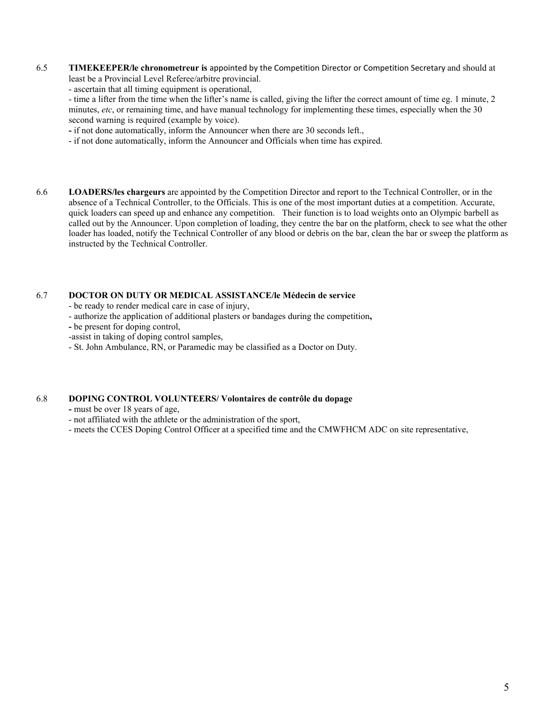- 6.5 **TIMEKEEPER/le chronometreur is** appointed by the Competition Director or Competition Secretary and should at least be a Provincial Level Referee/arbitre provincial.
	- ascertain that all timing equipment is operational,

- time a lifter from the time when the lifter's name is called, giving the lifter the correct amount of time eg. 1 minute, 2 minutes, *etc*, or remaining time, and have manual technology for implementing these times, especially when the 30 second warning is required (example by voice).

- if not done automatically, inform the Announcer when there are 30 seconds left.,
- if not done automatically, inform the Announcer and Officials when time has expired.
- 6.6 **LOADERS/les chargeurs** are appointed by the Competition Director and report to the Technical Controller, or in the absence of a Technical Controller, to the Officials. This is one of the most important duties at a competition. Accurate, quick loaders can speed up and enhance any competition. Their function is to load weights onto an Olympic barbell as called out by the Announcer. Upon completion of loading, they centre the bar on the platform, check to see what the other loader has loaded, notify the Technical Controller of any blood or debris on the bar, clean the bar or sweep the platform as instructed by the Technical Controller.

#### 6.7 **DOCTOR ON DUTY OR MEDICAL ASSISTANCE/le Médecin de service**

- be ready to render medical care in case of injury,
- authorize the application of additional plasters or bandages during the competition**,**
- be present for doping control,
- -assist in taking of doping control samples,
- St. John Ambulance, RN, or Paramedic may be classified as a Doctor on Duty.

#### 6.8 **DOPING CONTROL VOLUNTEERS/ Volontaires de contrôle du dopage**

- must be over 18 years of age,
- not affiliated with the athlete or the administration of the sport,
- meets the CCES Doping Control Officer at a specified time and the CMWFHCM ADC on site representative,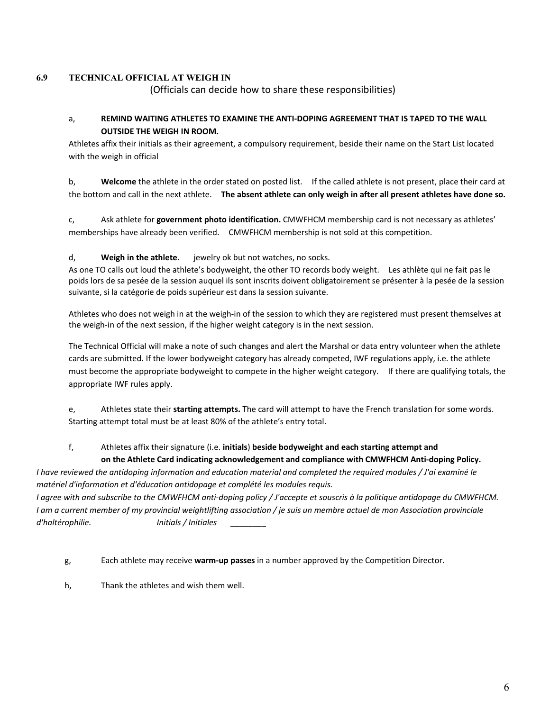#### **6.9 TECHNICAL OFFICIAL AT WEIGH IN**

(Officials can decide how to share these responsibilities)

#### a, **REMIND WAITING ATHLETES TO EXAMINE THE ANTI-DOPING AGREEMENT THAT IS TAPED TO THE WALL OUTSIDE THE WEIGH IN ROOM.**

Athletes affix their initials as their agreement, a compulsory requirement, beside their name on the Start List located with the weigh in official

b, **Welcome** the athlete in the order stated on posted list. If the called athlete is not present, place their card at the bottom and call in the next athlete. **The absent athlete can only weigh in after all present athletes have done so.**

c, Ask athlete for **government photo identification.** CMWFHCM membership card is not necessary as athletes' memberships have already been verified. CMWFHCM membership is not sold at this competition.

#### d, **Weigh in the athlete**. jewelry ok but not watches, no socks.

As one TO calls out loud the athlete's bodyweight, the other TO records body weight. Les athlète qui ne fait pas le poids lors de sa pesée de la session auquel ils sont inscrits doivent obligatoirement se présenter à la pesée de la session suivante, si la catégorie de poids supérieur est dans la session suivante.

Athletes who does not weigh in at the weigh-in of the session to which they are registered must present themselves at the weigh-in of the next session, if the higher weight category is in the next session.

The Technical Official will make a note of such changes and alert the Marshal or data entry volunteer when the athlete cards are submitted. If the lower bodyweight category has already competed, IWF regulations apply, i.e. the athlete must become the appropriate bodyweight to compete in the higher weight category. If there are qualifying totals, the appropriate IWF rules apply.

e, Athletes state their **starting attempts.** The card will attempt to have the French translation for some words. Starting attempt total must be at least 80% of the athlete's entry total.

## f, Athletes affix their signature (i.e. **initials**) **beside bodyweight and each starting attempt and**

#### **on the Athlete Card indicating acknowledgement and compliance with CMWFHCM Anti-doping Policy.**

*I have reviewed the antidoping information and education material and completed the required modules / J'ai examiné le matériel d'information et d'éducation antidopage et complété les modules requis.* 

*I agree with and subscribe to the CMWFHCM anti-doping policy / J'accepte et souscris à la politique antidopage du CMWFHCM. I am a current member of my provincial weightlifting association / je suis un membre actuel de mon Association provinciale d'haltérophilie. Initials / Initiales \_\_\_\_\_\_\_\_* 

g, Each athlete may receive **warm-up passes** in a number approved by the Competition Director.

h, Thank the athletes and wish them well.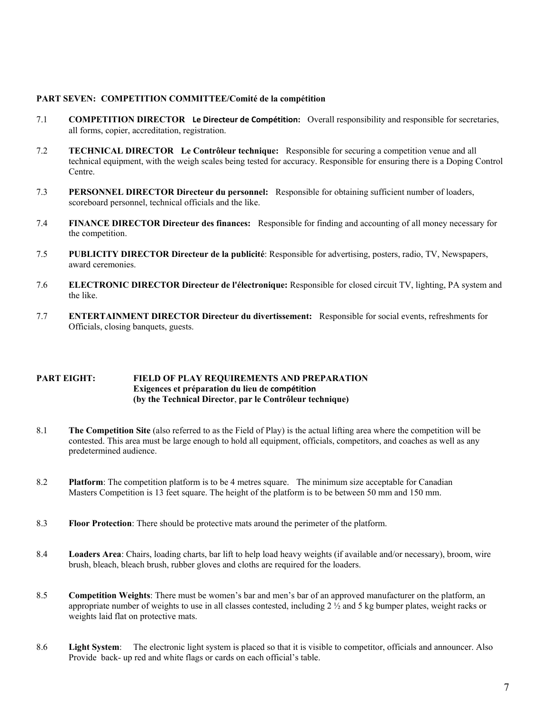#### **PART SEVEN: COMPETITION COMMITTEE/Comité de la compétition**

- 7.1 **COMPETITION DIRECTOR Le Directeur de Compétition:** Overall responsibility and responsible for secretaries, all forms, copier, accreditation, registration.
- 7.2 **TECHNICAL DIRECTOR Le Contrôleur technique:** Responsible for securing a competition venue and all technical equipment, with the weigh scales being tested for accuracy. Responsible for ensuring there is a Doping Control Centre.
- 7.3 **PERSONNEL DIRECTOR Directeur du personnel:** Responsible for obtaining sufficient number of loaders, scoreboard personnel, technical officials and the like.
- 7.4 **FINANCE DIRECTOR Directeur des finances:** Responsible for finding and accounting of all money necessary for the competition.
- 7.5 **PUBLICITY DIRECTOR Directeur de la publicité**: Responsible for advertising, posters, radio, TV, Newspapers, award ceremonies.
- 7.6 **ELECTRONIC DIRECTOR Directeur de l'électronique:** Responsible for closed circuit TV, lighting, PA system and the like.
- 7.7 **ENTERTAINMENT DIRECTOR Directeur du divertissement:** Responsible for social events, refreshments for Officials, closing banquets, guests.

#### **PART EIGHT: FIELD OF PLAY REQUIREMENTS AND PREPARATION Exigences et préparation du lieu de compétition (by the Technical Director**, **par le Contrôleur technique)**

- 8.1 **The Competition Site** (also referred to as the Field of Play) is the actual lifting area where the competition will be contested. This area must be large enough to hold all equipment, officials, competitors, and coaches as well as any predetermined audience.
- 8.2 **Platform**: The competition platform is to be 4 metres square. The minimum size acceptable for Canadian Masters Competition is 13 feet square. The height of the platform is to be between 50 mm and 150 mm.
- 8.3 **Floor Protection**: There should be protective mats around the perimeter of the platform.
- 8.4 **Loaders Area**: Chairs, loading charts, bar lift to help load heavy weights (if available and/or necessary), broom, wire brush, bleach, bleach brush, rubber gloves and cloths are required for the loaders.
- 8.5 **Competition Weights**: There must be women's bar and men's bar of an approved manufacturer on the platform, an appropriate number of weights to use in all classes contested, including  $2 \frac{1}{2}$  and 5 kg bumper plates, weight racks or weights laid flat on protective mats.
- 8.6 **Light System**: The electronic light system is placed so that it is visible to competitor, officials and announcer. Also Provide back- up red and white flags or cards on each official's table.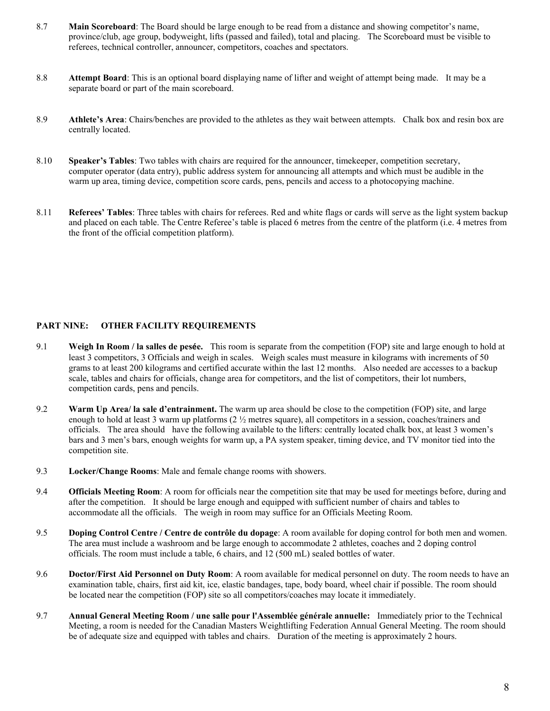- 8.7 **Main Scoreboard**: The Board should be large enough to be read from a distance and showing competitor's name, province/club, age group, bodyweight, lifts (passed and failed), total and placing. The Scoreboard must be visible to referees, technical controller, announcer, competitors, coaches and spectators.
- 8.8 **Attempt Board**: This is an optional board displaying name of lifter and weight of attempt being made. It may be a separate board or part of the main scoreboard.
- 8.9 **Athlete's Area**: Chairs/benches are provided to the athletes as they wait between attempts. Chalk box and resin box are centrally located.
- 8.10 **Speaker's Tables**: Two tables with chairs are required for the announcer, timekeeper, competition secretary, computer operator (data entry), public address system for announcing all attempts and which must be audible in the warm up area, timing device, competition score cards, pens, pencils and access to a photocopying machine.
- 8.11 **Referees' Tables**: Three tables with chairs for referees. Red and white flags or cards will serve as the light system backup and placed on each table. The Centre Referee's table is placed 6 metres from the centre of the platform (i.e. 4 metres from the front of the official competition platform).

#### **PART NINE: OTHER FACILITY REQUIREMENTS**

- 9.1 **Weigh In Room / la salles de pesée.** This room is separate from the competition (FOP) site and large enough to hold at least 3 competitors, 3 Officials and weigh in scales. Weigh scales must measure in kilograms with increments of 50 grams to at least 200 kilograms and certified accurate within the last 12 months. Also needed are accesses to a backup scale, tables and chairs for officials, change area for competitors, and the list of competitors, their lot numbers, competition cards, pens and pencils.
- 9.2 **Warm Up Area/ la sale d'entrainment.** The warm up area should be close to the competition (FOP) site, and large enough to hold at least 3 warm up platforms  $(2 \frac{1}{2})$  metres square), all competitors in a session, coaches/trainers and officials. The area should have the following available to the lifters: centrally located chalk box, at least 3 women's bars and 3 men's bars, enough weights for warm up, a PA system speaker, timing device, and TV monitor tied into the competition site.
- 9.3 **Locker/Change Rooms**: Male and female change rooms with showers.
- 9.4 **Officials Meeting Room**: A room for officials near the competition site that may be used for meetings before, during and after the competition. It should be large enough and equipped with sufficient number of chairs and tables to accommodate all the officials. The weigh in room may suffice for an Officials Meeting Room.
- 9.5 **Doping Control Centre / Centre de contrôle du dopage**: A room available for doping control for both men and women. The area must include a washroom and be large enough to accommodate 2 athletes, coaches and 2 doping control officials. The room must include a table, 6 chairs, and 12 (500 mL) sealed bottles of water.
- 9.6 **Doctor/First Aid Personnel on Duty Room**: A room available for medical personnel on duty. The room needs to have an examination table, chairs, first aid kit, ice, elastic bandages, tape, body board, wheel chair if possible. The room should be located near the competition (FOP) site so all competitors/coaches may locate it immediately.
- 9.7 **Annual General Meeting Room / une salle pour l'Assemblée générale annuelle:** Immediately prior to the Technical Meeting, a room is needed for the Canadian Masters Weightlifting Federation Annual General Meeting. The room should be of adequate size and equipped with tables and chairs. Duration of the meeting is approximately 2 hours.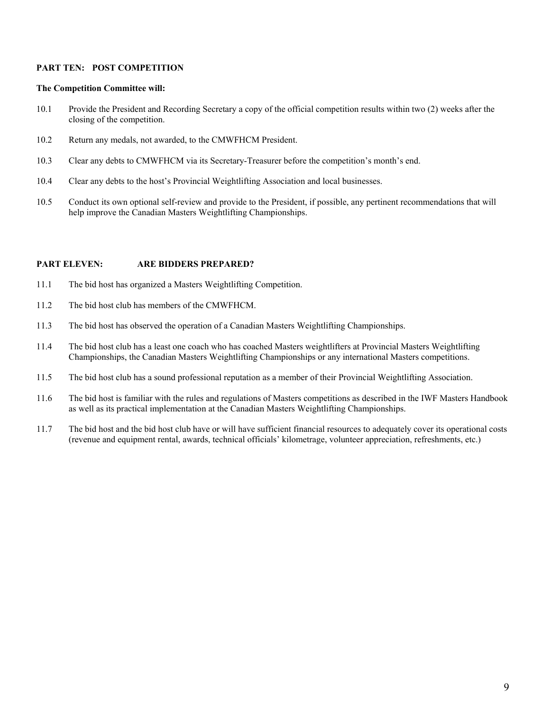#### **PART TEN: POST COMPETITION**

#### **The Competition Committee will:**

- 10.1 Provide the President and Recording Secretary a copy of the official competition results within two (2) weeks after the closing of the competition.
- 10.2 Return any medals, not awarded, to the CMWFHCM President.
- 10.3 Clear any debts to CMWFHCM via its Secretary-Treasurer before the competition's month's end.
- 10.4 Clear any debts to the host's Provincial Weightlifting Association and local businesses.
- 10.5 Conduct its own optional self-review and provide to the President, if possible, any pertinent recommendations that will help improve the Canadian Masters Weightlifting Championships.

#### **PART ELEVEN: ARE BIDDERS PREPARED?**

- 11.1 The bid host has organized a Masters Weightlifting Competition.
- 11.2 The bid host club has members of the CMWFHCM.
- 11.3 The bid host has observed the operation of a Canadian Masters Weightlifting Championships.
- 11.4 The bid host club has a least one coach who has coached Masters weightlifters at Provincial Masters Weightlifting Championships, the Canadian Masters Weightlifting Championships or any international Masters competitions.
- 11.5 The bid host club has a sound professional reputation as a member of their Provincial Weightlifting Association.
- 11.6 The bid host is familiar with the rules and regulations of Masters competitions as described in the IWF Masters Handbook as well as its practical implementation at the Canadian Masters Weightlifting Championships.
- 11.7 The bid host and the bid host club have or will have sufficient financial resources to adequately cover its operational costs (revenue and equipment rental, awards, technical officials' kilometrage, volunteer appreciation, refreshments, etc.)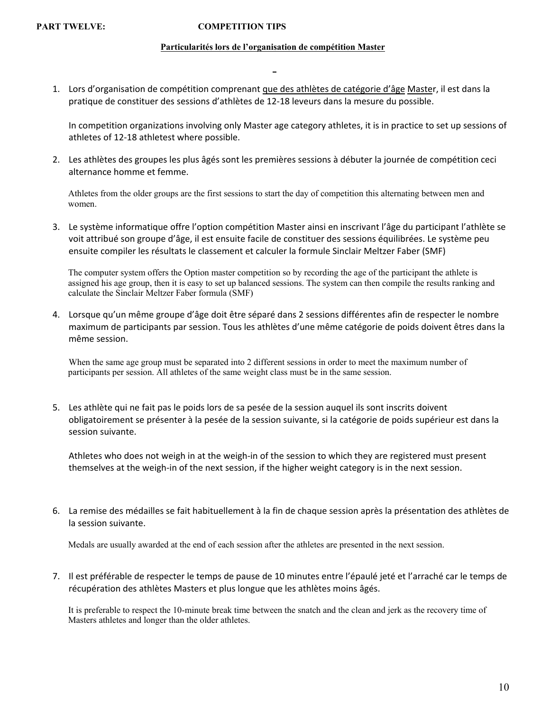#### PART TWELVE: **COMPETITION TIPS**

#### **Particularités lors de l'organisation de compétition Master**

1. Lors d'organisation de compétition comprenant que des athlètes de catégorie d'âge Master, il est dans la pratique de constituer des sessions d'athlètes de 12-18 leveurs dans la mesure du possible.

In competition organizations involving only Master age category athletes, it is in practice to set up sessions of athletes of 12-18 athletest where possible.

2. Les athlètes des groupes les plus âgés sont les premières sessions à débuter la journée de compétition ceci alternance homme et femme.

Athletes from the older groups are the first sessions to start the day of competition this alternating between men and women.

3. Le système informatique offre l'option compétition Master ainsi en inscrivant l'âge du participant l'athlète se voit attribué son groupe d'âge, il est ensuite facile de constituer des sessions équilibrées. Le système peu ensuite compiler les résultats le classement et calculer la formule Sinclair Meltzer Faber (SMF)

The computer system offers the Option master competition so by recording the age of the participant the athlete is assigned his age group, then it is easy to set up balanced sessions. The system can then compile the results ranking and calculate the Sinclair Meltzer Faber formula (SMF)

4. Lorsque qu'un même groupe d'âge doit être séparé dans 2 sessions différentes afin de respecter le nombre maximum de participants par session. Tous les athlètes d'une même catégorie de poids doivent êtres dans la même session.

When the same age group must be separated into 2 different sessions in order to meet the maximum number of participants per session. All athletes of the same weight class must be in the same session.

5. Les athlète qui ne fait pas le poids lors de sa pesée de la session auquel ils sont inscrits doivent obligatoirement se présenter à la pesée de la session suivante, si la catégorie de poids supérieur est dans la session suivante.

Athletes who does not weigh in at the weigh-in of the session to which they are registered must present themselves at the weigh-in of the next session, if the higher weight category is in the next session.

6. La remise des médailles se fait habituellement à la fin de chaque session après la présentation des athlètes de la session suivante.

Medals are usually awarded at the end of each session after the athletes are presented in the next session.

7. Il est préférable de respecter le temps de pause de 10 minutes entre l'épaulé jeté et l'arraché car le temps de récupération des athlètes Masters et plus longue que les athlètes moins âgés.

It is preferable to respect the 10-minute break time between the snatch and the clean and jerk as the recovery time of Masters athletes and longer than the older athletes.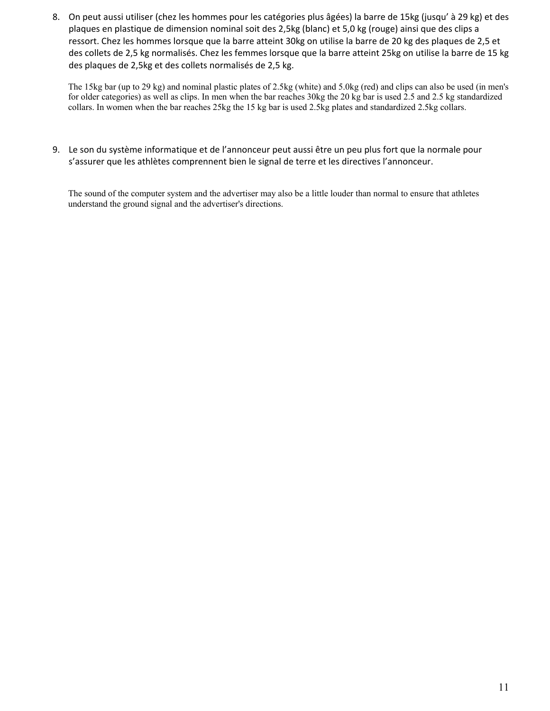8. On peut aussi utiliser (chez les hommes pour les catégories plus âgées) la barre de 15kg (jusqu' à 29 kg) et des plaques en plastique de dimension nominal soit des 2,5kg (blanc) et 5,0 kg (rouge) ainsi que des clips a ressort. Chez les hommes lorsque que la barre atteint 30kg on utilise la barre de 20 kg des plaques de 2,5 et des collets de 2,5 kg normalisés. Chez les femmes lorsque que la barre atteint 25kg on utilise la barre de 15 kg des plaques de 2,5kg et des collets normalisés de 2,5 kg.

The 15kg bar (up to 29 kg) and nominal plastic plates of 2.5kg (white) and 5.0kg (red) and clips can also be used (in men's for older categories) as well as clips. In men when the bar reaches 30kg the 20 kg bar is used 2.5 and 2.5 kg standardized collars. In women when the bar reaches 25kg the 15 kg bar is used 2.5kg plates and standardized 2.5kg collars.

9. Le son du système informatique et de l'annonceur peut aussi être un peu plus fort que la normale pour s'assurer que les athlètes comprennent bien le signal de terre et les directives l'annonceur.

The sound of the computer system and the advertiser may also be a little louder than normal to ensure that athletes understand the ground signal and the advertiser's directions.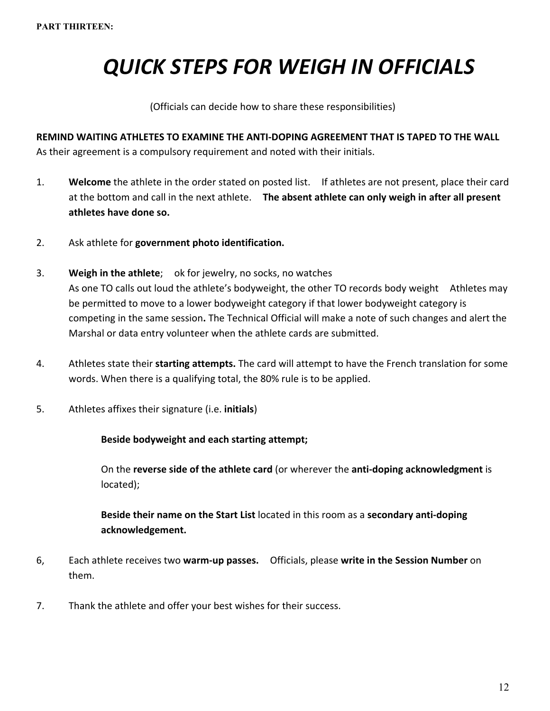# *QUICK STEPS FOR WEIGH IN OFFICIALS*

(Officials can decide how to share these responsibilities)

**REMIND WAITING ATHLETES TO EXAMINE THE ANTI-DOPING AGREEMENT THAT IS TAPED TO THE WALL**  As their agreement is a compulsory requirement and noted with their initials.

- 1. **Welcome** the athlete in the order stated on posted list. If athletes are not present, place their card at the bottom and call in the next athlete. **The absent athlete can only weigh in after all present athletes have done so.**
- 2. Ask athlete for **government photo identification.**
- 3. **Weigh in the athlete**; ok for jewelry, no socks, no watches As one TO calls out loud the athlete's bodyweight, the other TO records body weight Athletes may be permitted to move to a lower bodyweight category if that lower bodyweight category is competing in the same session**.** The Technical Official will make a note of such changes and alert the Marshal or data entry volunteer when the athlete cards are submitted.
- 4. Athletes state their **starting attempts.** The card will attempt to have the French translation for some words. When there is a qualifying total, the 80% rule is to be applied.
- 5. Athletes affixes their signature (i.e. **initials**)

#### **Beside bodyweight and each starting attempt;**

On the **reverse side of the athlete card** (or wherever the **anti-doping acknowledgment** is located);

**Beside their name on the Start List** located in this room as a **secondary anti-doping acknowledgement.**

- 6, Each athlete receives two **warm-up passes.** Officials, please **write in the Session Number** on them.
- 7. Thank the athlete and offer your best wishes for their success.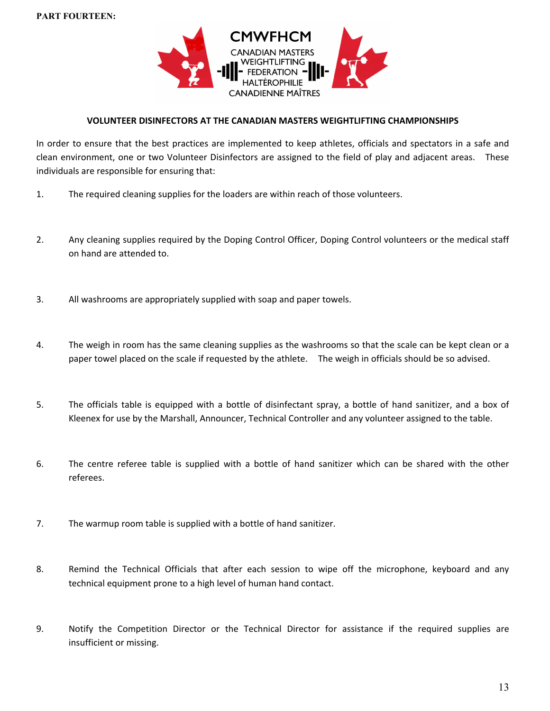

#### **VOLUNTEER DISINFECTORS AT THE CANADIAN MASTERS WEIGHTLIFTING CHAMPIONSHIPS**

In order to ensure that the best practices are implemented to keep athletes, officials and spectators in a safe and clean environment, one or two Volunteer Disinfectors are assigned to the field of play and adjacent areas. These individuals are responsible for ensuring that:

- 1. The required cleaning supplies for the loaders are within reach of those volunteers.
- 2. Any cleaning supplies required by the Doping Control Officer, Doping Control volunteers or the medical staff on hand are attended to.
- 3. All washrooms are appropriately supplied with soap and paper towels.
- 4. The weigh in room has the same cleaning supplies as the washrooms so that the scale can be kept clean or a paper towel placed on the scale if requested by the athlete. The weigh in officials should be so advised.
- 5. The officials table is equipped with a bottle of disinfectant spray, a bottle of hand sanitizer, and a box of Kleenex for use by the Marshall, Announcer, Technical Controller and any volunteer assigned to the table.
- 6. The centre referee table is supplied with a bottle of hand sanitizer which can be shared with the other referees.
- 7. The warmup room table is supplied with a bottle of hand sanitizer.
- 8. Remind the Technical Officials that after each session to wipe off the microphone, keyboard and any technical equipment prone to a high level of human hand contact.
- 9. Notify the Competition Director or the Technical Director for assistance if the required supplies are insufficient or missing.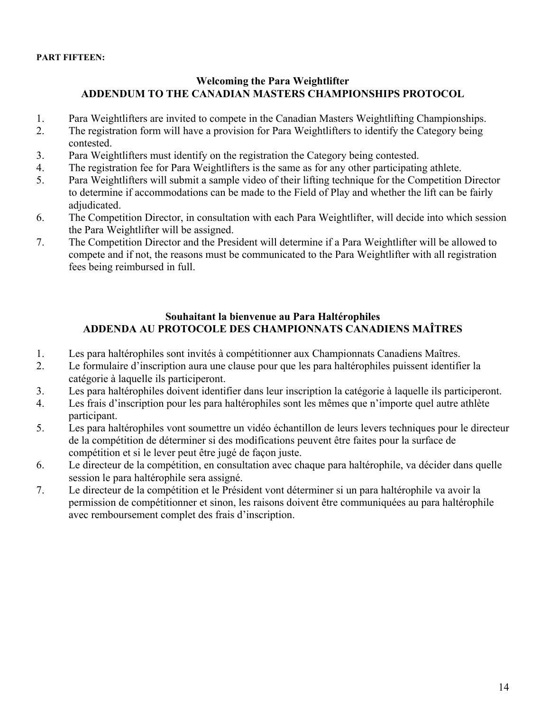## **Welcoming the Para Weightlifter ADDENDUM TO THE CANADIAN MASTERS CHAMPIONSHIPS PROTOCOL**

- 1. Para Weightlifters are invited to compete in the Canadian Masters Weightlifting Championships.
- 2. The registration form will have a provision for Para Weightlifters to identify the Category being contested.
- 3. Para Weightlifters must identify on the registration the Category being contested.
- 4. The registration fee for Para Weightlifters is the same as for any other participating athlete.
- 5. Para Weightlifters will submit a sample video of their lifting technique for the Competition Director to determine if accommodations can be made to the Field of Play and whether the lift can be fairly adjudicated.
- 6. The Competition Director, in consultation with each Para Weightlifter, will decide into which session the Para Weightlifter will be assigned.
- 7. The Competition Director and the President will determine if a Para Weightlifter will be allowed to compete and if not, the reasons must be communicated to the Para Weightlifter with all registration fees being reimbursed in full.

### **Souhaitant la bienvenue au Para Haltérophiles ADDENDA AU PROTOCOLE DES CHAMPIONNATS CANADIENS MAÎTRES**

- 1. Les para haltérophiles sont invités à compétitionner aux Championnats Canadiens Maîtres.
- 2. Le formulaire d'inscription aura une clause pour que les para haltérophiles puissent identifier la catégorie à laquelle ils participeront.
- 3. Les para haltérophiles doivent identifier dans leur inscription la catégorie à laquelle ils participeront.
- 4. Les frais d'inscription pour les para haltérophiles sont les mêmes que n'importe quel autre athlète participant.
- 5. Les para haltérophiles vont soumettre un vidéo échantillon de leurs levers techniques pour le directeur de la compétition de déterminer si des modifications peuvent être faites pour la surface de compétition et si le lever peut être jugé de façon juste.
- 6. Le directeur de la compétition, en consultation avec chaque para haltérophile, va décider dans quelle session le para haltérophile sera assigné.
- 7. Le directeur de la compétition et le Président vont déterminer si un para haltérophile va avoir la permission de compétitionner et sinon, les raisons doivent être communiquées au para haltérophile avec remboursement complet des frais d'inscription.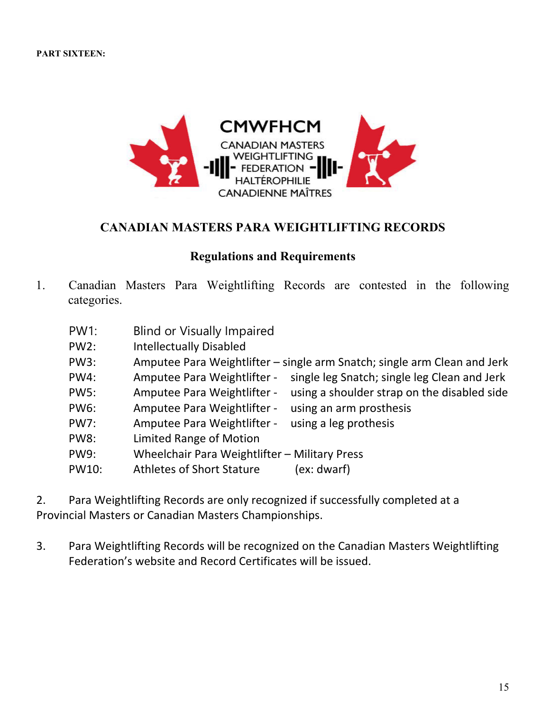

## **CANADIAN MASTERS PARA WEIGHTLIFTING RECORDS**

## **Regulations and Requirements**

- 1. Canadian Masters Para Weightlifting Records are contested in the following categories.
	- PW1: Blind or Visually Impaired
	- PW2: Intellectually Disabled
	- PW3: Amputee Para Weightlifter single arm Snatch; single arm Clean and Jerk
	- PW4: Amputee Para Weightlifter single leg Snatch; single leg Clean and Jerk
	- PW5: Amputee Para Weightlifter using a shoulder strap on the disabled side
	- PW6: Amputee Para Weightlifter using an arm prosthesis
	- PW7: Amputee Para Weightlifter using a leg prothesis
	- PW8: Limited Range of Motion
	- PW9: Wheelchair Para Weightlifter Military Press
	- PW10: Athletes of Short Stature (ex: dwarf)

2. Para Weightlifting Records are only recognized if successfully completed at a Provincial Masters or Canadian Masters Championships.

3. Para Weightlifting Records will be recognized on the Canadian Masters Weightlifting Federation's website and Record Certificates will be issued.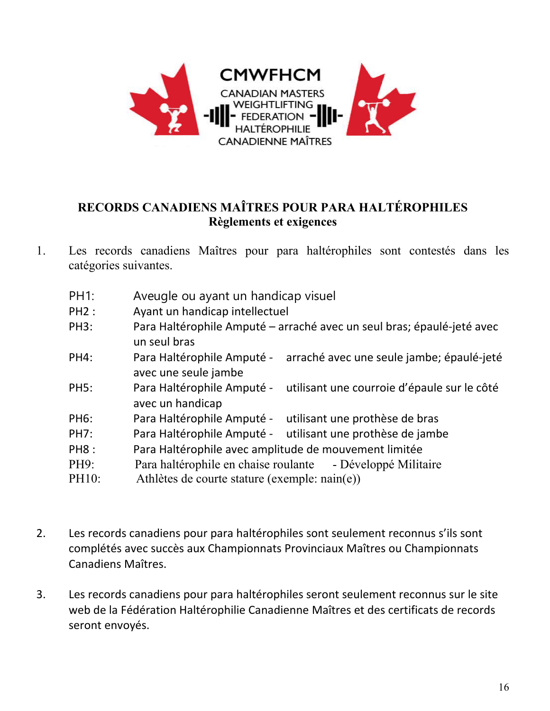

# **RECORDS CANADIENS MAÎTRES POUR PARA HALTÉROPHILES Règlements et exigences**

- 1. Les records canadiens Maîtres pour para haltérophiles sont contestés dans les catégories suivantes.
	- PH1: Aveugle ou ayant un handicap visuel
	- PH2 : Ayant un handicap intellectuel
	- PH3: Para Haltérophile Amputé arraché avec un seul bras; épaulé-jeté avec un seul bras
	- PH4: Para Haltérophile Amputé arraché avec une seule jambe; épaulé-jeté avec une seule jambe
	- PH5: Para Haltérophile Amputé utilisant une courroie d'épaule sur le côté avec un handicap
	- PH6: Para Haltérophile Amputé utilisant une prothèse de bras
	- PH7: Para Haltérophile Amputé utilisant une prothèse de jambe
	- PH8 : Para Haltérophile avec amplitude de mouvement limitée
	- PH9: Para haltérophile en chaise roulante Développé Militaire
	- PH10: Athlètes de courte stature (exemple: nain(e))
- 2. Les records canadiens pour para haltérophiles sont seulement reconnus s'ils sont complétés avec succès aux Championnats Provinciaux Maîtres ou Championnats Canadiens Maîtres.
- 3. Les records canadiens pour para haltérophiles seront seulement reconnus sur le site web de la Fédération Haltérophilie Canadienne Maîtres et des certificats de records seront envoyés.